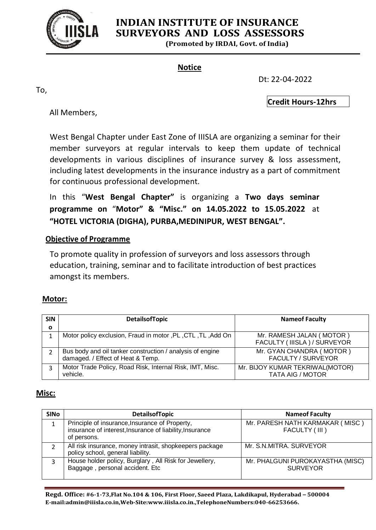

# **INDIAN INSTITUTE OF INSURANCE SURVEYORS AND LOSS ASSESSORS**

**(Promoted by IRDAI, Govt. of India)**

#### **Notice**

To,

Dt: 22-04-2022

**Credit Hours-12hrs**

All Members,

West Bengal Chapter under East Zone of IIISLA are organizing a seminar for their member surveyors at regular intervals to keep them update of technical developments in various disciplines of insurance survey & loss assessment, including latest developments in the insurance industry as a part of commitment for continuous professional development.

In this "**West Bengal Chapter"** is organizing a **Two days seminar programme on** "**Motor" & "Misc." on 14.05.2022 to 15.05.2022** at **"HOTEL VICTORIA (DIGHA), PURBA,MEDINIPUR, WEST BENGAL".**

### **Objective of Programme**

To promote quality in profession of surveyors and loss assessors through education, training, seminar and to facilitate introduction of best practices amongst its members.

#### **Motor:**

| <b>SIN</b><br>$\mathbf{o}$ | <b>DetailsofTopic</b>                                                                          | <b>Nameof Faculty</b>                                      |
|----------------------------|------------------------------------------------------------------------------------------------|------------------------------------------------------------|
|                            | Motor policy exclusion, Fraud in motor, PL, CTL, TL, Add On                                    | Mr. RAMESH JALAN (MOTOR)<br>FACULTY (IIISLA) / SURVEYOR    |
|                            | Bus body and oil tanker construction / analysis of engine<br>damaged. / Effect of Heat & Temp. | Mr. GYAN CHANDRA (MOTOR)<br><b>FACULTY / SURVEYOR</b>      |
|                            | Motor Trade Policy, Road Risk, Internal Risk, IMT, Misc.<br>vehicle.                           | Mr. BIJOY KUMAR TEKRIWAL(MOTOR)<br><b>TATA AIG / MOTOR</b> |

#### **Misc:**

| <b>SINO</b> | <b>DetailsofTopic</b>                                                                                                     | <b>Nameof Faculty</b>                               |
|-------------|---------------------------------------------------------------------------------------------------------------------------|-----------------------------------------------------|
|             | Principle of insurance, Insurance of Property,<br>insurance of interest, Insurance of liability, Insurance<br>of persons. | Mr. PARESH NATH KARMAKAR (MISC)<br>FACULTY (III)    |
|             | All risk insurance, money intrasit, shopkeepers package<br>policy school, general liability.                              | Mr. S.N.MITRA. SURVEYOR                             |
| 3           | House holder policy, Burglary, All Risk for Jewellery,<br>Baggage, personal accident. Etc                                 | Mr. PHALGUNI PUROKAYASTHA (MISC)<br><b>SURVEYOR</b> |

**Regd. Office: #6-1-73,Flat No.104 & 106, First Floor, Saeed Plaza, Lakdikapul, Hyderabad – 500004 E-mail:admin@iiisla.co.in,Web-Site:www.iiisla.co.in.,TelephoneNumbers:040-66253666.**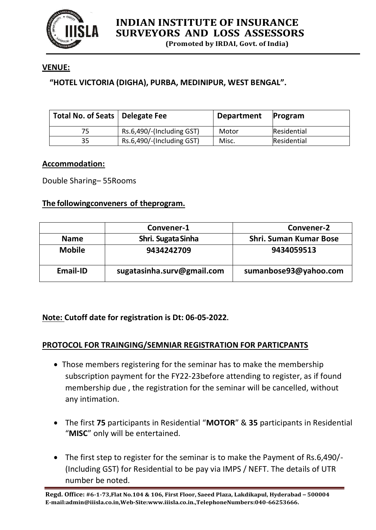

**(Promoted by IRDAI, Govt. of India)**

## **VENUE:**

## **"HOTEL VICTORIA (DIGHA), PURBA, MEDINIPUR, WEST BENGAL".**

| Total No. of Seats   Delegate Fee |                           | <b>Department</b> | Program     |
|-----------------------------------|---------------------------|-------------------|-------------|
| 75                                | Rs.6,490/-(Including GST) | Motor             | Residential |
| 35                                | Rs.6,490/-(Including GST) | Misc.             | Residential |

#### **Accommodation:**

Double Sharing– 55Rooms

#### **The followingconveners of theprogram.**

|                 | Convener-1                 | Convener-2                    |
|-----------------|----------------------------|-------------------------------|
| <b>Name</b>     | Shri. Sugata Sinha         | <b>Shri. Suman Kumar Bose</b> |
| <b>Mobile</b>   | 9434242709                 | 9434059513                    |
| <b>Email-ID</b> | sugatasinha.surv@gmail.com | sumanbose93@yahoo.com         |

#### **Note: Cutoff date for registration is Dt: 06-05-2022.**

#### **PROTOCOL FOR TRAINGING/SEMNIAR REGISTRATION FOR PARTICPANTS**

- Those members registering for the seminar has to make the membership subscription payment for the FY22-23before attending to register, as if found membership due , the registration for the seminar will be cancelled, without any intimation.
- The first **75** participants in Residential "**MOTOR**" & **35** participants in Residential "**MISC**" only will be entertained.
- The first step to register for the seminar is to make the Payment of Rs.6,490/-(Including GST) for Residential to be pay via IMPS / NEFT. The details of UTR number be noted.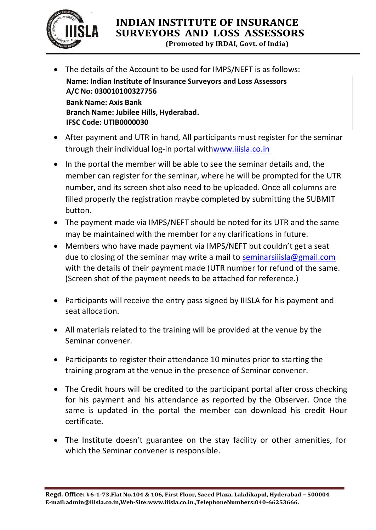

# **INDIAN INSTITUTE OF INSURANCE SURVEYORS AND LOSS ASSESSORS**

**(Promoted by IRDAI, Govt. of India)**

The details of the Account to be used for IMPS/NEFT is as follows:

**Name: Indian Institute of Insurance Surveyors and Loss Assessors A/C No: 030010100327756 Bank Name: Axis Bank Branch Name: Jubilee Hills, Hyderabad. IFSC Code: UTIB0000030**

- After payment and UTR in hand, All participants must register for the seminar through their individual log-in portal withwww.iiisla.co.in
- In the portal the member will be able to see the seminar details and, the member can register for the seminar, where he will be prompted for the UTR number, and its screen shot also need to be uploaded. Once all columns are filled properly the registration maybe completed by submitting the SUBMIT button.
- The payment made via IMPS/NEFT should be noted for its UTR and the same may be maintained with the member for any clarifications in future.
- Members who have made payment via IMPS/NEFT but couldn't get a seat due to closing of the seminar may write a mail to seminarsiiisla@gmail.com with the details of their payment made (UTR number for refund of the same. (Screen shot of the payment needs to be attached for reference.)
- Participants will receive the entry pass signed by IIISLA for his payment and seat allocation.
- All materials related to the training will be provided at the venue by the Seminar convener.
- Participants to register their attendance 10 minutes prior to starting the training program at the venue in the presence of Seminar convener.
- The Credit hours will be credited to the participant portal after cross checking for his payment and his attendance as reported by the Observer. Once the same is updated in the portal the member can download his credit Hour certificate.
- The Institute doesn't guarantee on the stay facility or other amenities, for which the Seminar convener is responsible.